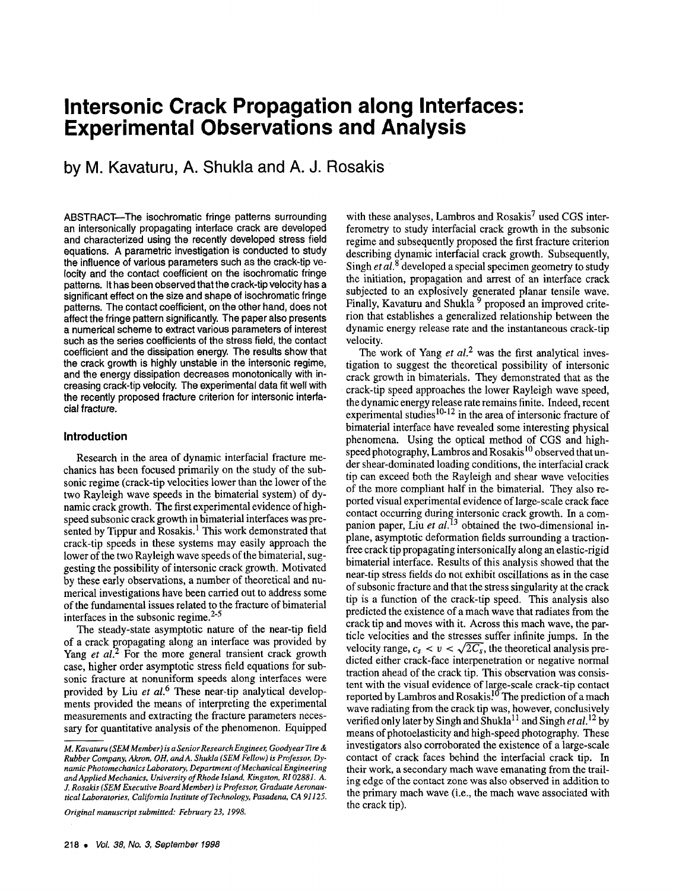# **Intersonic Crack Propagation along Interfaces: Experimental Observations and Analysis**

**by M. Kavaturu, A. Shukla and A. J. Rosakis** 

ABSTRACT--The isochromatic fringe patterns surrounding an intersonically propagating interface crack are developed **and characterized using** the recently **developed stress** field equations. A **parametric investigation is** conducted to **study**  the influence of various parameters such as the crack-tip velocity and the contact coefficient on the isochromatic fringe patterns. It has been observed that the crack-tip velocity has a **significant** effect on the **size and shape** of isochromatic fringe patterns. The contact coefficient, on the other hand, does not affect the fringe pattern significantly. The paper also presents a numerical scheme to extract **various parameters** of interest such as the series coefficients of the stress field, the contact coefficient and the **dissipation energy.** The results show that the crack growth is highly unstable in the intersonic **regime, and** the energy **dissipation decreases** monotonically with increasing crack-tip velocity. The experimental data fit well with the recently proposed fracture criterion for intersonic interfacial fracture.

#### **Introduction**

Research in the area of dynamic interfacial fracture mechanics has been focused primarily on the study of the subsonic regime (crack-tip velocities lower than the lower of the two Rayleigh wave speeds in the bimaterial system) of dynamic crack growth. The first experimental evidence of highspeed subsonic crack growth in bimaterial interfaces was presented by Tippur and Rosakis.<sup>1</sup> This work demonstrated that crack-tip speeds in these systems may easily approach the lower of the two Rayleigh wave speeds of the bimaterial, suggesting the possibility of intersonic crack growth. Motivated by these early observations, a number of theoretical and numerical investigations have been carried out to address some of the fundamental issues related to the fracture of bimaterial interfaces in the subsonic regime. 2-5

The steady-state asymptotic nature of the near-tip field of a crack propagating along an interface was provided by Yang *et al.*<sup>2</sup> For the more general transient crack growth case, higher order asymptotic stress field equations for subsonic fracture at nonuniform speeds along interfaces were provided by Liu et al.<sup>6</sup> These near-tip analytical developments provided the means of interpreting the experimental measurements and extracting the fracture parameters necessary for quantitative analysis of the phenomenon. Equipped

*Original manuscript submitted: February 23, 1998.* 

with these analyses, Lambros and Rosakis<sup>7</sup> used CGS interferometry to study interfacial crack growth in the subsonic regime and subsequently proposed the first fracture criterion describing dynamic interfacial crack growth. Subsequently, Singh *et al.*<sup>8</sup> developed a special specimen geometry to study the initiation, propagation and arrest of an interface crack subjected to an explosively generated planar tensile wave. Finally, Kavaturu and Shukla <sup>9</sup> proposed an improved criterion that establishes a generalized relationship between the dynamic energy release rate and the instantaneous crack-tip velocity.

The work of Yang  $et$   $al$ <sup>2</sup> was the first analytical investigation to suggest the theoretical possibility of intersonic crack growth in bimaterials. They demonstrated that as the crack-tip speed approaches the lower Rayleigh wave speed, the dynamic energy release rate remains finite. Indeed, recent experimental studies  $10-12$  in the area of intersonic fracture of bimaterial interface have revealed some interesting physical phenomena. Using the optical method of CGS and high speed photography, Lambros and Rosakis<sup>10</sup> observed that under shear-dominated loading conditions, the interfacial crack tip can exceed both the Rayleigh and shear wave velocities of the more compliant half in the bimaterial. They also reported visual experimental evidence of large-scale crack face contact occurring during intersonic crack growth. In a companion paper, Liu *et al. 13* obtained the two-dimensional inplane, asymptotic deformation fields surrounding a tractionfree crack tip propagating intersonically along an elastic-rigid bimaterial interface. Results of this analysis showed that the near-tip stress fields do not exhibit oscillations as in the case of subsonic fracture and that the stress singularity at the crack tip is a function of the crack-tip speed. This analysis also predicted the existence of a mach wave that radiates from the crack tip and moves with it. Across this mach wave, the particle velocities and the stresses suffer infinite jumps. In the velocity range,  $c_s < v < \sqrt{2}C_s$ , the theoretical analysis predicted either crack-face interpenetration or negative normal traction ahead of the crack tip. This observation was consistent with the visual evidence of large-scale crack-tip contact reported by Lambros and Rosakis.<sup>10</sup> The prediction of a mach wave radiating from the crack tip was, however, conclusively<br>verified only later by Singh and Shukla<sup>11</sup> and Singh *et al.* <sup>12</sup> by means of photoelasticity and high-speed photography. These investigators also corroborated the existence of a large-scale contact of crack faces behind the interfacial crack tip. In their work, a secondary mach wave emanating from the trailing edge of the contact zone was also observed in addition to the primary mach wave (i.e., the mach wave associated with the crack tip).

*M. Kavaturu (SEM Member) is a Senior Research Engineer, Goodyear'Bre & Rubber Company, Akron, OH, andA. Shukla (SEM Fellow) is Professor, Dynamic Photomechanics Laboratory, Department of Mechanical Engineering and Applied Mechanics, University of Rhode Island, Kingston, R102881. A. J. Rosakis (SEM Executive Board Member) is Professor, Graduate Aeronautical Laboratories, California Institute of Technology, Pasadena, CA 91125.*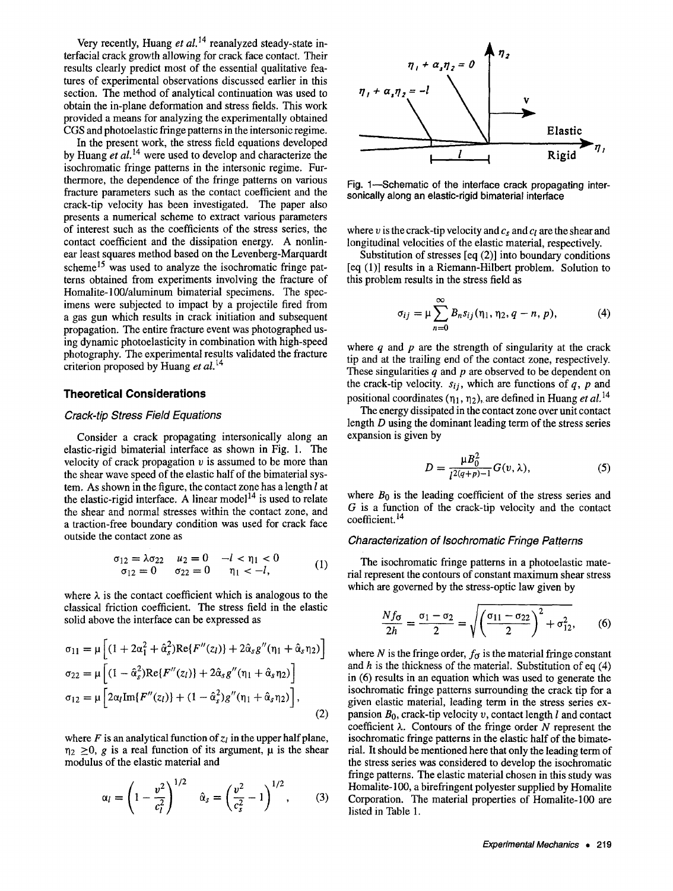Very recently, Huang *et al. 14* reanalyzed steady-state interfacial crack growth allowing for crack face contact. Their results clearly predict most of the essential qualitative features of experimental observations discussed earlier in this section. The method of analytical continuation was used to obtain the in-plane deformation and stress fields. This work provided a means for analyzing the experimentally obtained CGS and photoelastic fringe patterns in the intersonic regime.

In the present work, the stress field equations developed by Huang *et al. 14* were used to develop and characterize the isochromatic fringe patterns in the intersonic regime, Furthermore, the dependence of the fringe patterns on various fracture parameters such as the contact coefficient and the crack-tip velocity has been investigated. The paper also presents a numerical scheme to extract various parameters of interest such as the coefficients of the stress series, the contact coefficient and the dissipation energy. A nonlinear least squares method based on the Levenberg-Marquardt scheme<sup>15</sup> was used to analyze the isochromatic fringe patterns obtained from experiments involving the fracture of Homalite-100/aluminum bimaterial specimens. The specimens were subjected to impact by a projectile fired from a gas gun which results in crack initiation and subsequent propagation. The entire fracture event was photographed using dynamic photoelasticity in combination with high-speed photography. The experimental results validated the fracture criterion proposed by Huang *et aI. t4* 

# **Theoretical Considerations**

#### *Crack-tip Stress Field Equations*

Consider a crack propagating intersonically along an elastic-rigid bimaterial interface as shown in Fig. 1. The velocity of crack propagation  $v$  is assumed to be more than the shear wave speed of the elastic half of the bimaterial system. As shown in the figure, the contact zone has a length I at the elastic-rigid interface. A linear model<sup>14</sup> is used to relate the shear and normal stresses within the contact zone, and a traction-free boundary condition was used for crack face outside the contact zone as

$$
\begin{array}{ll}\n\sigma_{12} = \lambda \sigma_{22} & u_2 = 0 & -l < \eta_1 < 0 \\
\sigma_{12} = 0 & \sigma_{22} = 0 & \eta_1 < -l,\n\end{array} \tag{1}
$$

where  $\lambda$  is the contact coefficient which is analogous to the classical friction coefficient. The stress field in the elastic solid above the interface can be expressed as

$$
\sigma_{11} = \mu \left[ (1 + 2\alpha_1^2 + \hat{\alpha}_s^2) \text{Re}\{F''(z_l)\} + 2\hat{\alpha}_s g''(\eta_1 + \hat{\alpha}_s \eta_2) \right]
$$
  
\n
$$
\sigma_{22} = \mu \left[ (1 - \hat{\alpha}_s^2) \text{Re}\{F''(z_l)\} + 2\hat{\alpha}_s g''(\eta_1 + \hat{\alpha}_s \eta_2) \right]
$$
  
\n
$$
\sigma_{12} = \mu \left[ 2\alpha_l \text{Im}\{F''(z_l)\} + (1 - \hat{\alpha}_s^2) g''(\eta_1 + \hat{\alpha}_s \eta_2) \right],
$$
\n(2)

where F is an analytical function of  $z<sub>l</sub>$  in the upper half plane,  $\eta_2 \geq 0$ , g is a real function of its argument,  $\mu$  is the shear modulus of the elastic material and

$$
\alpha_l = \left(1 - \frac{v^2}{c_l^2}\right)^{1/2} \quad \hat{\alpha}_s = \left(\frac{v^2}{c_s^2} - 1\right)^{1/2}, \quad (3)
$$



Fig. 1-Schematic of the interface crack propagating intersonically along an elastic-rigid bimaterial interface

where v is the crack-tip velocity and  $c_s$  and  $c_l$  are the shear and longitudinal velocities of the elastic material, respectively.

Substitution of stresses [eq (2)] into boundary conditions [eq (1)] results in a Riemann-Hilbert problem. Solution to this problem results in the stress field as

$$
\sigma_{ij} = \mu \sum_{n=0}^{\infty} B_n s_{ij} (\eta_1, \eta_2, q - n, p), \tag{4}
$$

where  $q$  and  $p$  are the strength of singularity at the crack tip and at the trailing end of the contact zone, respectively. These singularities  $q$  and  $p$  are observed to be dependent on the crack-tip velocity.  $s_{ij}$ , which are functions of  $q$ ,  $p$  and positional coordinates  $(\eta_1, \eta_2)$ , are defined in Huang *et al.*<sup>14</sup>

The energy dissipated in the contact zone over unit contact length D using the dominant leading term of the stress series expansion is given by

$$
D = \frac{\mu B_0^2}{l^{2(q+p)-1}} G(v, \lambda),
$$
 (5)

where  $B_0$  is the leading coefficient of the stress series and G is a function of the crack-tip velocity and the contact coefficient. 14

# *Characterization of Isochromatic Fringe Patterns*

The isochromatic fringe patterns in a photoelastic material represent the contours of constant maximum shear stress which are governed by the stress-optic law given by

$$
\frac{Nf_{\sigma}}{2h} = \frac{\sigma_1 - \sigma_2}{2} = \sqrt{\left(\frac{\sigma_{11} - \sigma_{22}}{2}\right)^2 + \sigma_{12}^2},\qquad(6)
$$

where N is the fringe order,  $f_{\sigma}$  is the material fringe constant and  $h$  is the thickness of the material. Substitution of eq  $(4)$ in (6) results in an equation which was used to generate the isochromatic fringe patterns surrounding the crack tip for a given elastic material, leading term in the stress series expansion  $B_0$ , crack-tip velocity v, contact length  $l$  and contact coefficient  $\lambda$ . Contours of the fringe order N represent the isochromatic fringe patterns in the elastic half of the bimaterial. It should be mentioned here that only the leading term of the stress series was considered to develop the isochromatic fringe patterns. The elastic material chosen in this study was Homalite-100, a birefringent polyester supplied by Homalite Corporation. The material properties of Homalite-100 are listed in Table 1.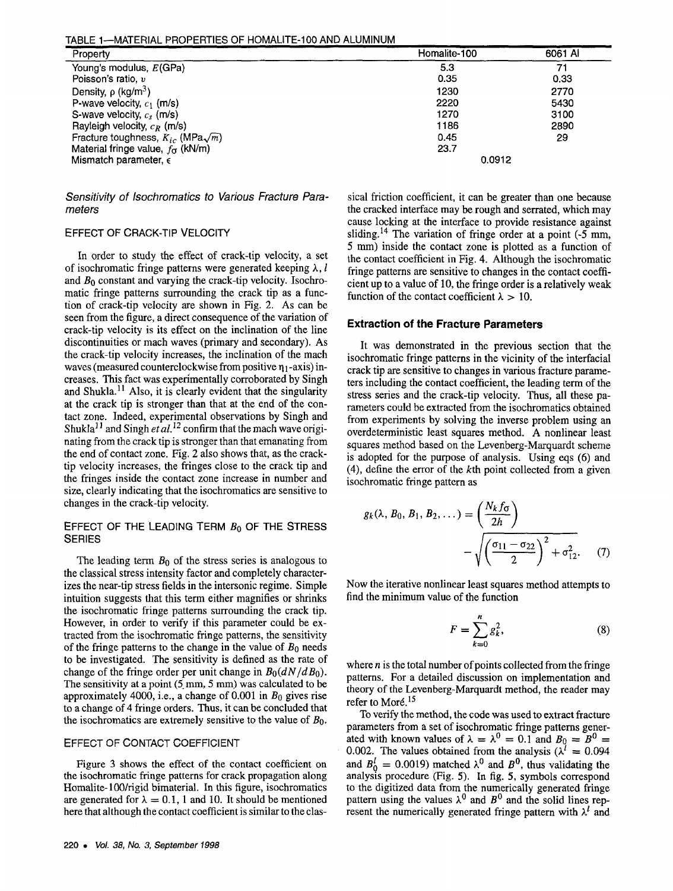TABLE 1--MATERIAL PROPERTIES OF HOMALITE-100 AND ALUMINUM

| Property                                       | Homalite-100 | 6061 Al |
|------------------------------------------------|--------------|---------|
| Young's modulus, E(GPa)                        | 5.3          | 71      |
| Poisson's ratio, $v$                           | 0.35         | 0.33    |
| Density, $\rho$ (kg/m <sup>3</sup> )           | 1230         | 2770    |
| P-wave velocity, $c_1$ (m/s)                   | 2220         | 5430    |
| S-wave velocity, $c_s$ (m/s)                   | 1270         | 3100    |
| Rayleigh velocity, $c_R$ (m/s)                 | 1186         | 2890    |
| Fracture toughness, $K_{ic}$ (MPa $\sqrt{m}$ ) | 0.45         | 29      |
| Material fringe value, $f_{\sigma}$ (kN/m)     | 23.7         |         |
| Mismatch parameter, $\epsilon$                 | 0.0912       |         |

*Sensitivity of Isochromatics to Various Fracture Parameters* 

#### EFFECT OF CRACK-TIP VELOCITY

In order to study the effect of crack-tip velocity, a set of isochromatic fringe patterns were generated keeping  $\lambda$ , l and  $B_0$  constant and varying the crack-tip velocity. Isochromatic fringe patterns surrounding the crack tip as a function of crack-tip velocity are shown in Fig. 2. As can be seen from the figure, a direct consequence of the variation of crack-tip velocity is its effect on the inclination of the line discontinuities or mach waves (primary and secondary). As the crack-tip velocity increases, the inclination of the mach waves (measured counterclockwise from positive  $\eta_1$ -axis) increases. This fact was experimentally corroborated by Singh and Shukla.<sup>11</sup> Also, it is clearly evident that the singularity at the crack tip is stronger than that at the end of the contact zone. Indeed, experimental observations by Singh and Shukla<sup>11</sup> and Singh *et al.*<sup>12</sup> confirm that the mach wave originating from the crack tip is stronger than that emanating from the end of contact zone. Fig. 2 also shows that, as the cracktip velocity increases, the fringes close to the crack tip and the fringes inside the contact zone increase in number and size, clearly indicating that the isochromatics are sensitive to changes in the crack-tip velocity.

### EFFECT OF THE LEADING TERM  $B_0$  OF THE STRESS **SERIES**

The leading term  $B_0$  of the stress series is analogous to the classical stress intensity factor and completely characterizes the near-tip stress fields in the intersonic regime. Simple intuition suggests that this term either magnifies or shrinks the isochromatic fringe patterns surrounding the crack tip. However, in order to verify if this parameter could be extracted from the isochromatic fringe patterns, the sensitivity of the fringe patterns to the change in the value of  $B_0$  needs to be investigated. The sensitivity is defined as the rate of change of the fringe order per unit change in  $B_0(dN/dB_0)$ . The sensitivity at a point (5 mm, 5 mm) was calculated to be approximately 4000, i.e., a change of 0.001 in  $B_0$  gives rise to a change of 4 fringe orders. Thus, it can be concluded that the isochromatics are extremely sensitive to the value of  $B_0$ .

#### EFFECT OF CONTACT COEFFICIENT

Figure 3 shows the effect of the contact coefficient on the isochromatic fringe patterns for crack propagation along Homalite-lO0/rigid bimaterial. In this figure, isochromatics are generated for  $\lambda = 0.1$ , 1 and 10. It should be mentioned here that although the contact coefficient is similar to the clas-

sical friction coefficient, it can be greater than one because the cracked interface may be rough and serrated, which may cause locking at the interface to provide resistance against sliding.<sup>14</sup> The variation of fringe order at a point  $(-5 \text{ mm})$ , 5 mm) inside the contact zone is plotted as a function of the contact coefficient in Fig. 4. Although the isochromatic fringe patterns are sensitive to changes in the contact coefficient up to a value of 10, the fringe order is a relatively weak function of the contact coefficient  $\lambda > 10$ .

#### **Extraction of the Fracture Parameters**

It was demonstrated in the previous section that the isochromatic fringe patterns in the vicinity of the interfacial crack tip are sensitive to changes in various fracture parameters including the contact coefficient, the leading term of the stress series and the crack-tip velocity. Thus, all these parameters could be extracted from the isochromatics obtained from experiments by solving the inverse problem using an overdeterministic least squares method. A nonlinear least squares method based on the Levenberg-Marquardt scheme is adopted for the purpose of analysis. Using eqs (6) and (4), define the error of the kth point collected from a given isochromatic fringe pattern as

$$
g_k(\lambda, B_0, B_1, B_2, \dots) = \left(\frac{N_k f_{\sigma}}{2h}\right)
$$

$$
-\sqrt{\left(\frac{\sigma_{11} - \sigma_{22}}{2}\right)^2 + \sigma_{12}^2}.
$$
 (7)

Now the iterative nonlinear least squares method attempts to find the minimum value of the function

$$
F = \sum_{k=0}^{n} g_k^2,\tag{8}
$$

where  $n$  is the total number of points collected from the fringe patterns. For a detailed discussion on implementation and theory of the Levenberg-Marquardt method, the reader may refer to Moré.<sup>15</sup>

To verify the method, the code was used to extract fracture parameters from a set of isochromatic fringe patterns generated with known values of  $\lambda = \lambda^0 = 0.1$  and  $B_0 = B^0 =$ 0.002. The values obtained from the analysis ( $\lambda^i = 0.094$ ) and  $B_0^i = 0.0019$  matched  $\lambda^0$  and  $B^0$ , thus validating the analysis procedure (Fig. 5). In fig. 5, symbols correspond to the digitized data from the numerically generated fringe pattern using the values  $\lambda^0$  and  $B^0$  and the solid lines represent the numerically generated fringe pattern with  $\lambda^{l}$  and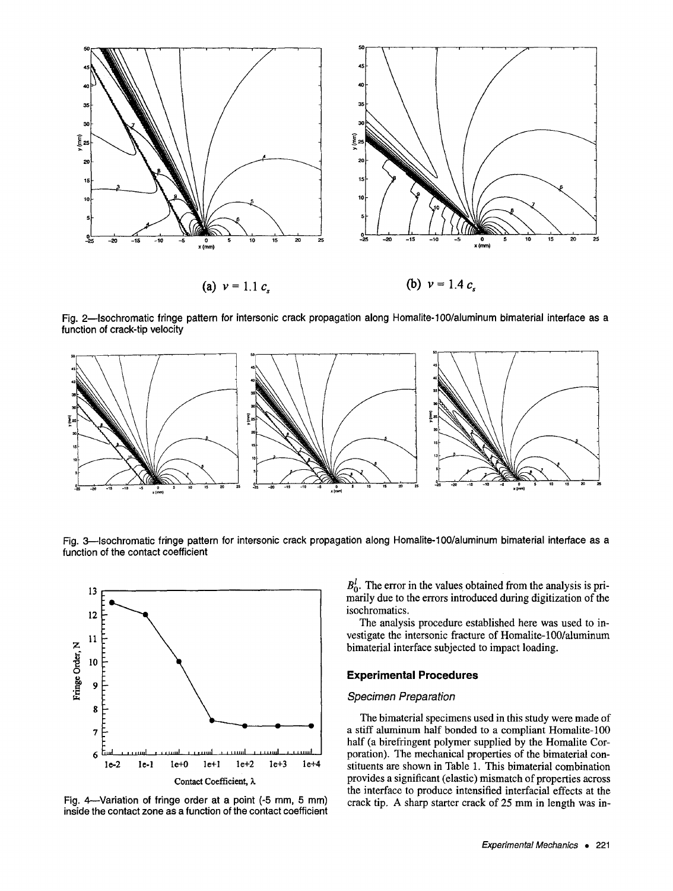

Fig. 2-Isochromatic fringe pattern for intersonic crack propagation along Homalite-100/aluminum bimaterial interface as a **function of crack-tip velocity** 



Fig. **3--Isochromatic fringe pattern for intersonic crack propagation along Homalite-lOO/aluminum bimaterial interface as** a **function of the contact coefficient** 



Fig. 4---Variation of **fringe order at a point** (-5 mm, 5 mm) **inside the contact zone as a function of the contact coefficient** 

**B/. The error in the values obtained from the analysis is primarily due to the errors introduced during digitization of the isochromatics.** 

**The analysis procedure established here was used to investigate the intersonic fracture of Homalite-100/aluminum bimaterial interface subjected to impact loading.** 

# **Experimental Procedures**

# *Specimen Preparation*

**The bimaterial specimens used in this study were made of**  a **stiff aluminum half bonded to a compliant Homalite-100 half (a birefringent polymer supplied by the Homalite Corporation). The mechanical properties of the bimaterial constituents are shown in Table 1. This bimaterial combination provides a significant (elastic) mismatch of properties across the interface to produce intensified interracial effects at the crack tip. A sharp starter crack of 25 mm in length was in-**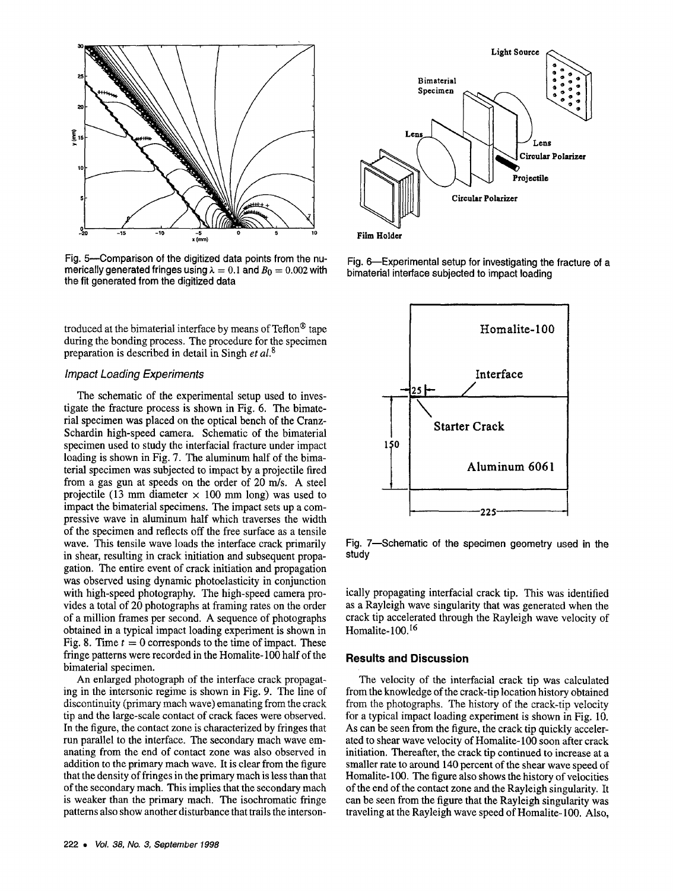

Fig. 5--Comparison of the digitized data points from the numerically generated fringes using  $\lambda = 0.1$  and  $B_0 = 0.002$  with the fit generated from the digitized data

troduced at the bimaterial interface by means of Teflon<sup>®</sup> tape during the bonding process. The procedure for the specimen preparation is described in detail in Singh *et al. 8* 

# *Impact Loading Experiments*

The schematic of the experimental setup used to investigate the fracture process is shown in Fig. 6. The bimaterial specimen was placed on the optical bench of the Cranz-Schardin high-speed camera. Schematic of the bimaterial specimen used to study the interfacial fracture under impact loading is shown in Fig. 7. The aluminum half of the bimaterial specimen was subjected to impact by a projectile fired from a gas gun at speeds on the order of 20 m/s. A steel projectile (13 mm diameter  $\times$  100 mm long) was used to impact the bimaterial specimens. The impact sets up a compressive wave in aluminum half which traverses the width of the specimen and reflects off the free surface as a tensile wave. This tensile wave loads the interface crack primarily in shear, resulting in crack initiation and subsequent propagation. The entire event of crack initiation and propagation was observed using dynamic photoelasticity in conjunction with high-speed photography. The high-speed camera provides a total of 20 photographs at framing rates on the order of a million frames per second. A sequence of photographs obtained in a typical impact loading experiment is shown in Fig. 8. Time  $t = 0$  corresponds to the time of impact. These fringe patterns were recorded in the Homalite-100 half of the bimaterial specimen.

An enlarged photograph of the interface crack propagating in the intersonic regime is shown in Fig. 9. The line of discontinuity (primary mach wave) emanating from the crack tip and the large-scale contact of crack faces were observed. In the figure, the contact zone is characterized by fringes that run parallel to the interface. The secondary mach wave emanating from the end of contact zone was also observed in addition to the primary mach wave. It is clear from the figure that the density of fringes in the primary mach is less than that of the secondary mach. This implies that the secondary mach is weaker than the primary mach. The isochromatic fringe pattems also show another disturbance that trails the interson-



Fig. 6-Experimental setup for investigating the fracture of a bimaterial interface subjected to impact loading



Fig. 7-Schematic of the specimen geometry used in the study

ically propagating interfacial crack tip. This was identified as a Rayleigh wave singularity that was generated when the crack tip accelerated through the Rayleigh wave velocity of Homalite- $100<sup>16</sup>$ 

#### **Results and Discussion**

The velocity of the interfacial crack tip was calculated from the knowledge of the crack-tip location history obtained from the photographs. The history of the crack-tip velocity for a typical impact loading experiment is shown in Fig. 10. As can be seen from the figure, the crack tip quickly accelerated to shear wave velocity of Homalite-100 soon after crack initiation. Thereafter, the crack tip continued to increase at a smaller rate to around 140 percent of the shear wave speed of Homalite-100. The figure also shows the history of velocities of the end of the contact zone and the Rayleigh singularity. It can be seen from the figure that the Rayleigh singularity was traveling at the Rayleigh wave speed of Homalite-100. Also,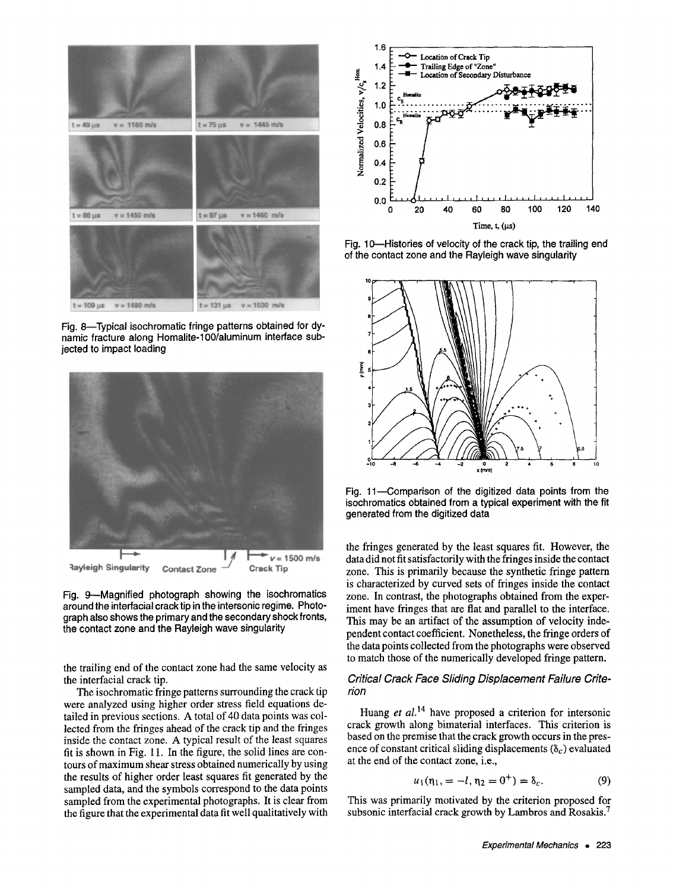

Fig. 8-Typical isochromatic fringe patterns obtained for dynamic fracture along Homalite-lOO/aluminum interface subjected to impact loading



Fig. 9--Magnified photograph showing the isochromatics around the interfacial crack tip in the intersonic regime. Photograph also shows the primary and the secondary shock fronts, the contact zone and the Rayleigh wave singularity

the trailing end of the contact zone had the same velocity as the interfacial crack tip.

The isochromatic fringe patterns surrounding the crack tip were analyzed using higher order stress field equations detailed in previous sections. A total of 40 data points was collected from the fringes ahead of the crack tip and the fringes inside the contact zone. A typical result of the least squares fit is shown in Fig. 11. In the figure, the solid lines are contours of maximum shear stress obtained numerically by using the results of higher order least squares fit generated by the sampled data, and the symbols correspond to the data points sampled from the experimental photographs. It is clear from the figure that the experimental data fit well qualitatively with



Fig. 10-Histories of velocity of the crack tip, the trailing end of the contact zone and the Rayleigh wave singularity



Fig. 11-Comparison of the digitized data points from the isochromatics obtained from a typical experiment with the fit generated from the digitized data

the fringes generated by the least squares fit. However, the data did not fit satisfactorily with the fringes inside the contact zone. This is primarily because the synthetic fringe pattern is characterized by curved sets of fringes inside the contact zone. In contrast, the photographs obtained from the experiment have fringes that are fiat and parallel to the interface. This may be an artifact of the assumption of velocity independent contact coefficient. Nonetheless, the fringe orders of the data points collected from the photographs were observed to match those of the numerically developed fringe pattern.

# *Critical Crack Face Sliding Displacement Failure Criterion*

Huang *et al.*<sup>14</sup> have proposed a criterion for intersonic crack growth along bimaterial interfaces. This criterion is based on the premise that the crack growth occurs in the presence of constant critical sliding displacements  $(\delta_c)$  evaluated at the end of the contact zone, i.e.,

$$
u_1(\eta_1, = -l, \eta_2 = 0^+) = \delta_c. \tag{9}
$$

This was primarily motivated by the criterion proposed for subsonic interfacial crack growth by Lambros and Rosakis.<sup>7</sup>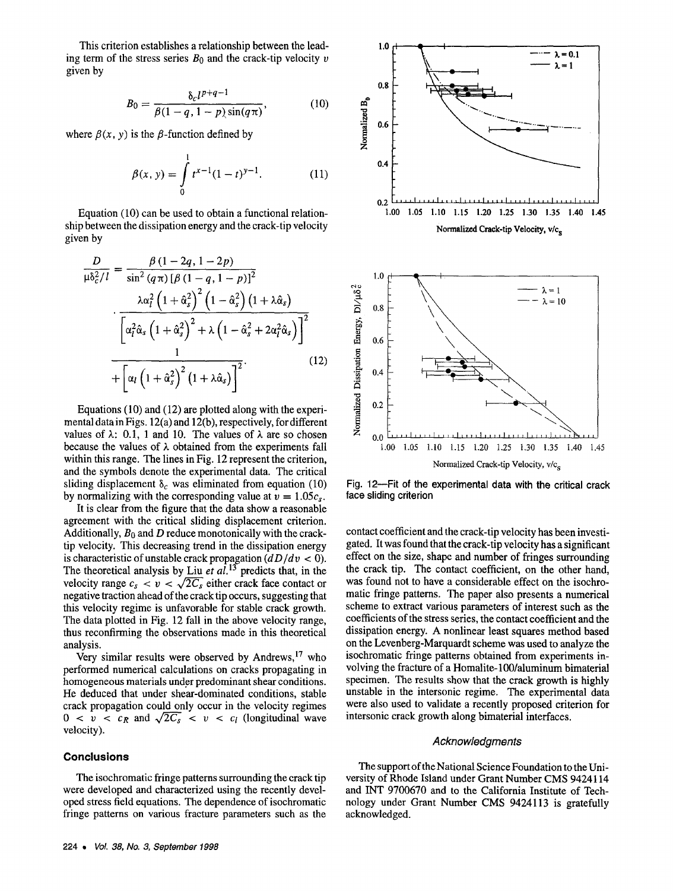This criterion establishes a relationship between the leading term of the stress series  $B_0$  and the crack-tip velocity  $v$ given by

$$
B_0 = \frac{\delta_c l^{p+q-1}}{\beta(1-q, 1-p)\sin(q\pi)},
$$
 (10)

where  $\beta(x, y)$  is the  $\beta$ -function defined by

$$
\beta(x, y) = \int_{0}^{1} t^{x-1} (1-t)^{y-1}.
$$
 (11)

Equation (10) can be used to obtain a functional relationship between the dissipation energy and the crack-tip velocity given by

$$
\frac{D}{\mu\delta_c^2/l} = \frac{\beta (1 - 2q, 1 - 2p)}{\sin^2(q\pi)[\beta (1 - q, 1 - p)]^2}
$$

$$
\frac{\lambda\alpha_l^2 (1 + \hat{\alpha}_s^2)^2 (1 - \hat{\alpha}_s^2) (1 + \lambda\hat{\alpha}_s)}{\left[\alpha_l^2 \hat{\alpha}_s (1 + \hat{\alpha}_s^2)^2 + \lambda (1 - \hat{\alpha}_s^2 + 2\alpha_l^2 \hat{\alpha}_s)\right]^2}
$$

$$
+\left[\alpha_l (1 + \hat{\alpha}_s^2)^2 (1 + \lambda\hat{\alpha}_s)\right]^2.
$$
(12)

Equations (10) and (12) are plotted along with the experimental data in Figs. 12(a) and 12(b), respectively, for different values of  $\lambda$ : 0.1, 1 and 10. The values of  $\lambda$  are so chosen because the values of  $\lambda$  obtained from the experiments fall within this range. The lines in Fig. 12 represent the criterion, and the symbols denote the experimental data. The critical sliding displacement  $\delta_c$  was eliminated from equation (10) by normalizing with the corresponding value at  $v = 1.05c_s$ .

It is clear from the figure that the data show a reasonable agreement with the critical sliding displacement criterion. Additionally,  $B_0$  and  $D$  reduce monotonically with the cracktip velocity. This decreasing trend in the dissipation energy is characteristic of unstable crack propagation *(dD/dv < 0).*  The theoretical analysis by Liu *et al. 13* predicts that, in the velocity range  $c_s < v < \sqrt{2C_s}$  either crack face contact or negative traction ahead of the crack tip occurs, suggesting that this velocity regime is unfavorable for stable crack growth. The data plotted in Fig. 12 fall in the above velocity range, thus reconfirming the observations made in this theoretical analysis.

Very similar results were observed by Andrews, <sup>17</sup> who performed numerical calculations on cracks propagating in homogeneous materials under predominant shear conditions. He deduced that under shear-dominated conditions, stable crack propagation could only occur in the velocity regimes  $0 < v < c_R$  and  $\sqrt{2C_s} < v < c_l$  (longitudinal wave velocity).

#### **Conclusions**

The isochromatic fringe patterns surrounding the crack tip were developed and characterized using the recently developed stress field equations. The dependence of isochromatic fringe patterns on various fracture parameters such as the



Fig. 12--Fit of the experimental data with the critical crack face sliding criterion

contact coefficient and the crack-tip velocity has been investigated. It was found that the crack-tip velocity has a significant effect on the size, shape and number of fringes surrounding the crack tip. The contact coefficient, on the other hand, was found not to have a considerable effect on the isochromatic fringe patterns. The paper also presents a numerical scheme to extract various parameters of interest such as the coefficients of the stress series, the contact coefficient and the dissipation energy. A nonlinear least squares method based on the Levenberg-Marquardt scheme was used to analyze the isochromatic fringe patterns obtained from experiments involving the fracture of a Homalite-100/aluminum bimaterial specimen. The results show that the crack growth is highly unstable in the intersonic regime. The experimental data were also used to validate a recently proposed criterion for intersonic crack growth along bimaterial interfaces.

# *Acknowledgments*

The support of the National Science Foundation to the University of Rhode Island under Grant Number CMS 9424114 and INT 9700670 and to the California Institute of Technology under Grant Number CMS 9424113 is gratefully acknowledged.